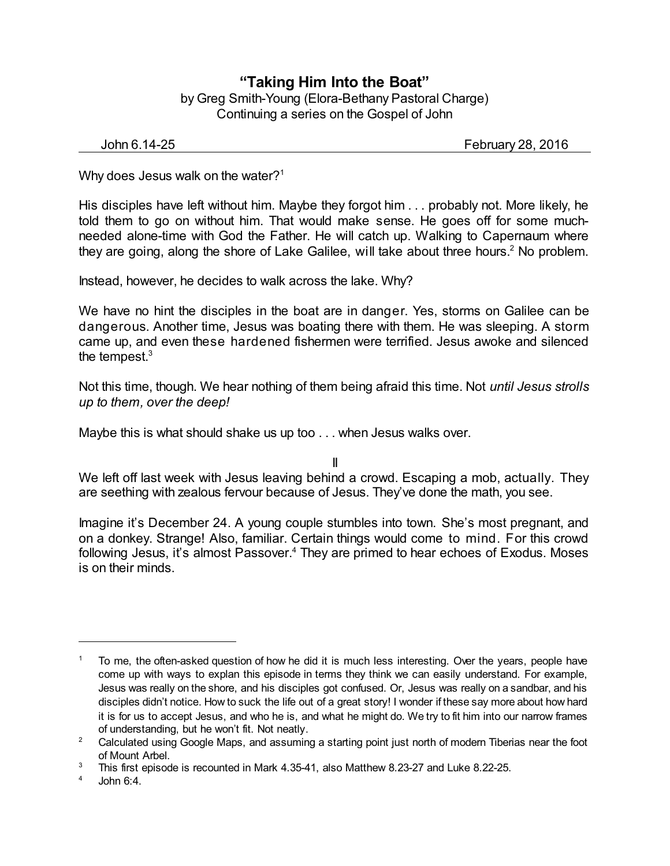## **"Taking Him Into the Boat"** by Greg Smith-Young (Elora-Bethany Pastoral Charge)

Continuing a series on the Gospel of John

John 6.14-25 February 28, 2016

Why does Jesus walk on the water?<sup>1</sup>

His disciples have left without him. Maybe they forgot him . . . probably not. More likely, he told them to go on without him. That would make sense. He goes off for some muchneeded alone-time with God the Father. He will catch up. Walking to Capernaum where they are going, along the shore of Lake Galilee, will take about three hours.<sup>2</sup> No problem.

Instead, however, he decides to walk across the lake. Why?

We have no hint the disciples in the boat are in danger. Yes, storms on Galilee can be dangerous. Another time, Jesus was boating there with them. He was sleeping. A storm came up, and even these hardened fishermen were terrified. Jesus awoke and silenced the tempest. $^3$ 

Not this time, though. We hear nothing of them being afraid this time. Not *until Jesus strolls up to them, over the deep!*

Maybe this is what should shake us up too . . . when Jesus walks over.

II

We left off last week with Jesus leaving behind a crowd. Escaping a mob, actually. They are seething with zealous fervour because of Jesus. They've done the math, you see.

Imagine it's December 24. A young couple stumbles into town. She's most pregnant, and on a donkey. Strange! Also, familiar. Certain things would come to mind. For this crowd following Jesus, it's almost Passover. <sup>4</sup> They are primed to hear echoes of Exodus. Moses is on their minds.

<sup>1</sup> To me, the often-asked question of how he did it is much less interesting. Over the years, people have come up with ways to explan this episode in terms they think we can easily understand. For example, Jesus was really on the shore, and his disciples got confused. Or, Jesus was really on a sandbar, and his disciples didn't notice. How to suck the life out of a great story! I wonder if these say more about how hard it is for us to accept Jesus, and who he is, and what he might do. We try to fit him into our narrow frames of understanding, but he won't fit. Not neatly.

<sup>&</sup>lt;sup>2</sup> Calculated using Google Maps, and assuming a starting point just north of modern Tiberias near the foot of Mount Arbel.

<sup>3</sup> This first episode is recounted in Mark 4.35-41, also Matthew 8.23-27 and Luke 8.22-25.

 $4$  John 6:4.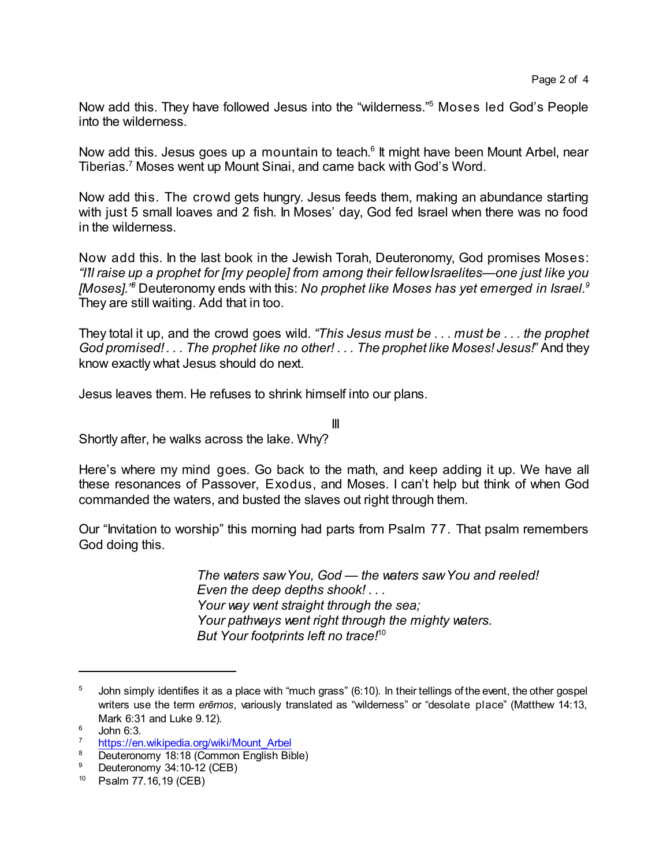Now add this. They have followed Jesus into the "wilderness." <sup>5</sup> Moses led God's People into the wilderness.

Now add this. Jesus goes up a mountain to teach.<sup>6</sup> It might have been Mount Arbel, near Tiberias.<sup>7</sup> Moses went up Mount Sinai, and came back with God's Word.

Now add this. The crowd gets hungry. Jesus feeds them, making an abundance starting with just 5 small loaves and 2 fish. In Moses' day, God fed Israel when there was no food in the wilderness.

Now add this. In the last book in the Jewish Torah, Deuteronomy, God promises Moses: *"I'll raise up a prophet for [my people] from among their fellowIsraelites—one just like you [Moses]." <sup>8</sup>* Deuteronomy ends with this: *No prophet like Moses has yet emerged in Israel. 9* They are still waiting. Add that in too.

They total it up, and the crowd goes wild. *"This Jesus must be . . . must be . . . the prophet God promised! . . . The prophet like no other! . . . The prophet like Moses! Jesus!*"And they know exactly what Jesus should do next.

Jesus leaves them. He refuses to shrink himself into our plans.

Shortly after, he walks across the lake. Why?

Here's where my mind goes. Go back to the math, and keep adding it up. We have all these resonances of Passover, Exodus, and Moses. I can't help but think of when God commanded the waters, and busted the slaves out right through them.

III

Our "Invitation to worship" this morning had parts from Psalm 77. That psalm remembers God doing this.

> *The waters sawYou, God — the waters sawYou and reeled! Even the deep depths shook! . . . Your way went straight through the sea; Your pathways went right through the mighty waters. But Your footprints left no trace!*<sup>10</sup>

 $5$  John simply identifies it as a place with "much grass" (6:10). In their tellings of the event, the other gospel writers use the term *eremos*, variously translated as "wilderness" or "desolate place" (Matthew 14:13, Mark 6:31 and Luke 9.12).

 $6$  John 6:3.

[https://en.wikipedia.org/wiki/Mount\\_Arbel](https://en.wikipedia.org/wiki/Mount_Arbel)

<sup>&</sup>lt;sup>8</sup> Deuteronomy 18:18 (Common English Bible)<br><sup>9</sup> Deuteronomy 24:10, 12 (CEB)

Deuteronomy 34:10-12 (CEB)

<sup>10</sup> Psalm 77.16,19 (CEB)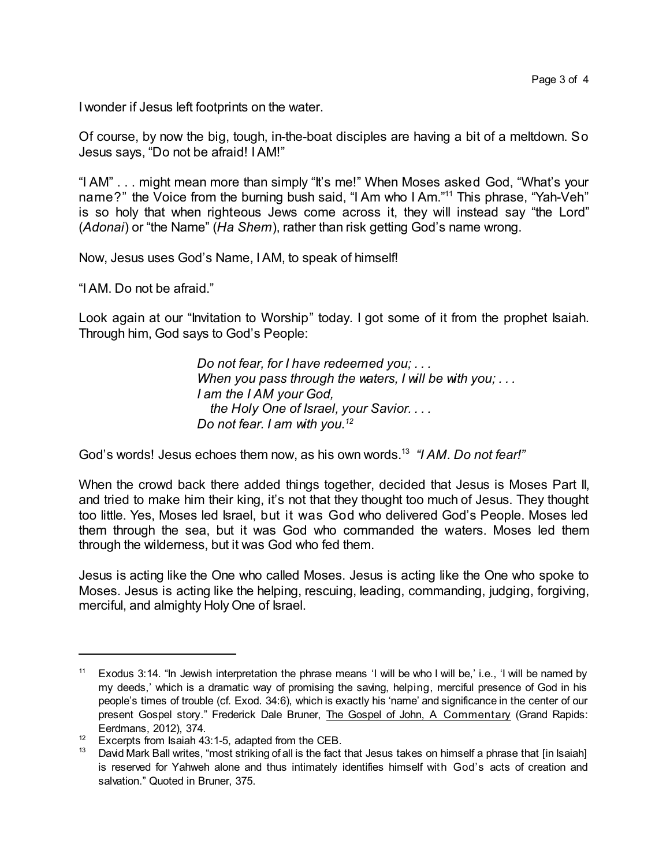I wonder if Jesus left footprints on the water.

Of course, by now the big, tough, in-the-boat disciples are having a bit of a meltdown. So Jesus says, "Do not be afraid! IAM!"

"I AM" . . . might mean more than simply "It's me!" When Moses asked God, "What's your name?" the Voice from the burning bush said, "I Am who I Am."<sup>11</sup> This phrase, "Yah-Veh" is so holy that when righteous Jews come across it, they will instead say "the Lord" (*Adonai*) or "the Name" (*Ha Shem*), rather than risk getting God's name wrong.

Now, Jesus uses God's Name, IAM, to speak of himself!

"IAM. Do not be afraid."

Look again at our "Invitation to Worship" today. I got some of it from the prophet Isaiah. Through him, God says to God's People:

> *Do not fear, for I have redeemed you; . . . When you pass through the waters, I will be with you; . . . I am the I AM your God, the Holy One of Israel, your Savior. . . . Do not fear. I am with you.<sup>12</sup>*

God's words! Jesus echoes them now, as his own words.<sup>13</sup> *"I AM. Do not fear!"*

When the crowd back there added things together, decided that Jesus is Moses Part II, and tried to make him their king, it's not that they thought too much of Jesus. They thought too little. Yes, Moses led Israel, but it was God who delivered God's People. Moses led them through the sea, but it was God who commanded the waters. Moses led them through the wilderness, but it was God who fed them.

Jesus is acting like the One who called Moses. Jesus is acting like the One who spoke to Moses. Jesus is acting like the helping, rescuing, leading, commanding, judging, forgiving, merciful, and almighty Holy One of Israel.

<sup>&</sup>lt;sup>11</sup> Exodus 3:14. "In Jewish interpretation the phrase means 'I will be who I will be,' i.e., 'I will be named by my deeds,' which is a dramatic way of promising the saving, helping, merciful presence of God in his people's times of trouble (cf. Exod. 34:6), which is exactly his 'name' and significance in the center of our present Gospel story." Frederick Dale Bruner, The Gospel of John, A Commentary (Grand Rapids: Eerdmans, 2012), 374.

 $12$  Excerpts from Isaiah 43:1-5, adapted from the CEB.

<sup>&</sup>lt;sup>13</sup> David Mark Ball writes, "most striking of all is the fact that Jesus takes on himself a phrase that [in Isaiah] is reserved for Yahweh alone and thus intimately identifies himself with God's acts of creation and salvation." Quoted in Bruner, 375.